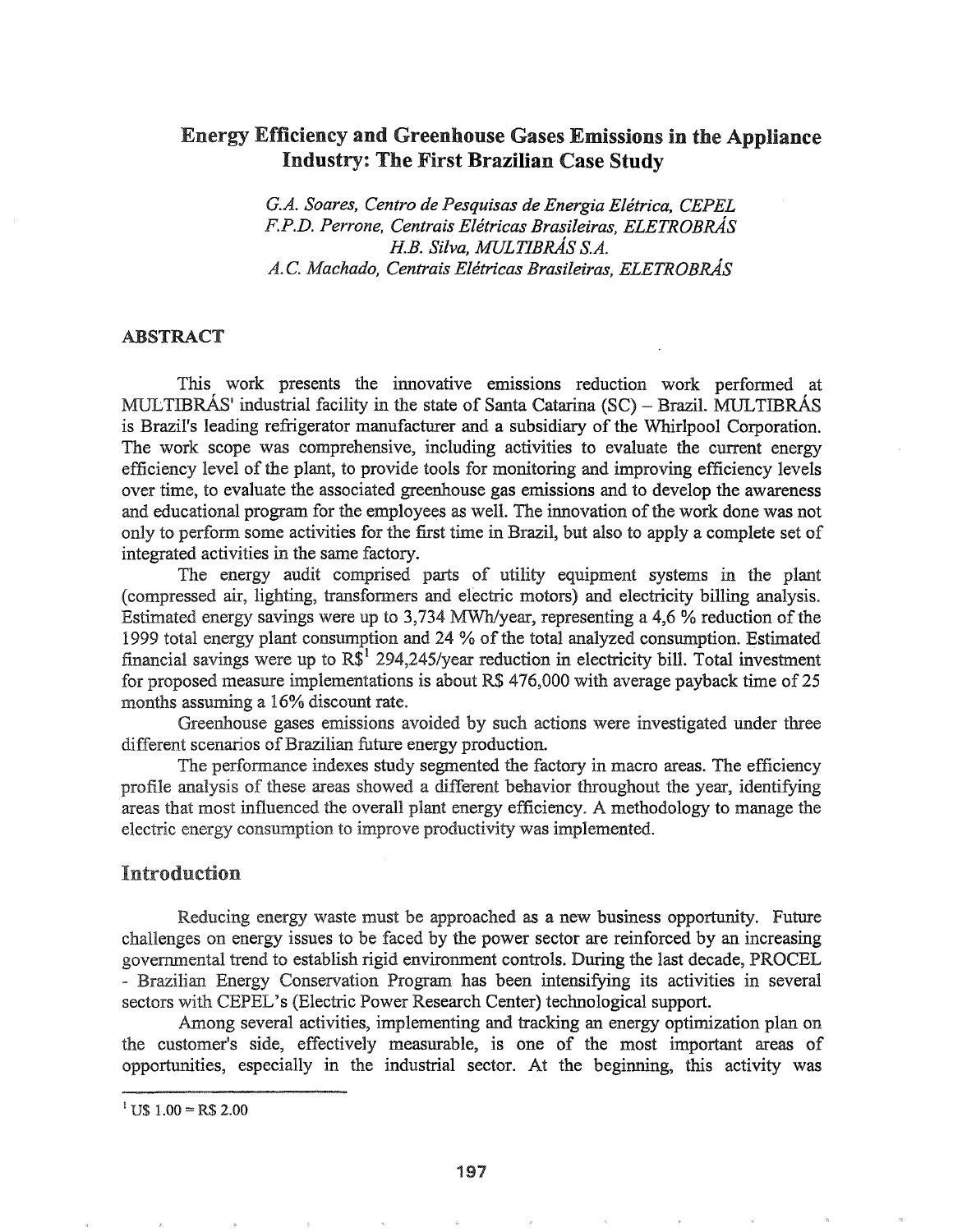# Energy Efficiency and Greenhouse Gases Emissions in the Appliance Industry: The First Brazilian Case Study

*G.A. Soares, Centro de Pesquisas de Energia Eletrica, CEPEL F.P.D. Perrone, Centrais Eletricas Brasileiras, ELETROBRAs !lB. Silva, MULTIBRAs S.A. A.*C. *Machado, Centrais Eletricas Brasileiras, ELETROBRAs*

### ABSTRACT

This work presents the innovative emissions reduction work performed at MULTIBRÁS' industrial facility in the state of Santa Catarina  $(SC)$  – Brazil. MULTIBRÁS is Brazil's leading refrigerator manufacturer and a subsidiary of the Whirlpool Corporation. The work scope was comprehensive, including activities to evaluate the current energy efficiency level of the plant, to provide tools for monitoring and improving efficiency levels over time, to evaluate the associated greenhouse gas emissions and to develop the awareness and educational program for the employees as well. The innovation of the work done was not only to perform some activities for the first time in Brazil, but also to apply a complete set of integrated activities in the same factory.

The energy audit comprised parts of utility equipment systems in the plant (compressed air, lighting, transfonners and electric motors) and electricity billing analysis. Estimated energy savings were up to  $3,734$  MWh/year, representing a 4,6 % reduction of the 1999 total energy plant consumption and 24 % ofthe total analyzed consumption. Estimated financial savings were up to  $R\mathcal{S}^1$  294,245/year reduction in electricity bill. Total investment for proposed measure implementations is about R\$ 476,000 with average payback time of 25 months assuming a 16% discount rate.

Greenhouse gases emissions avoided by such actions were investigated under three different scenarios of Brazilian future energy production.

The performance indexes study segmented the factory in macro areas. The efficiency profile analysis of these areas showed a different behavior throughout the year, identifying areas that most influenced the overall plant energy efficiency~ A methodology to manage the electric energy consumption to improve productivity was implemented.

## Introduction

Reducing energy waste must be approached as a new business opportunity. Future challenges on energy issues to be faced by the power sector are reinforced by an increasing governmental trend to establish rigid environment controls. During the last decade, PROCEL - Brazilian Energy Conservation Program has been intensifying its activities in several sectors with CEPEL's (Electric Power Research Center) technological support.

Among several activities, implementing and tracking an energy optimization plan on the customer's side, effectively measurable, is one of the most important areas of opportunities, especially in the industrial sector. At the beginning, this activity was

 $1 \text{ US } 1.00 = \text{RS } 2.00$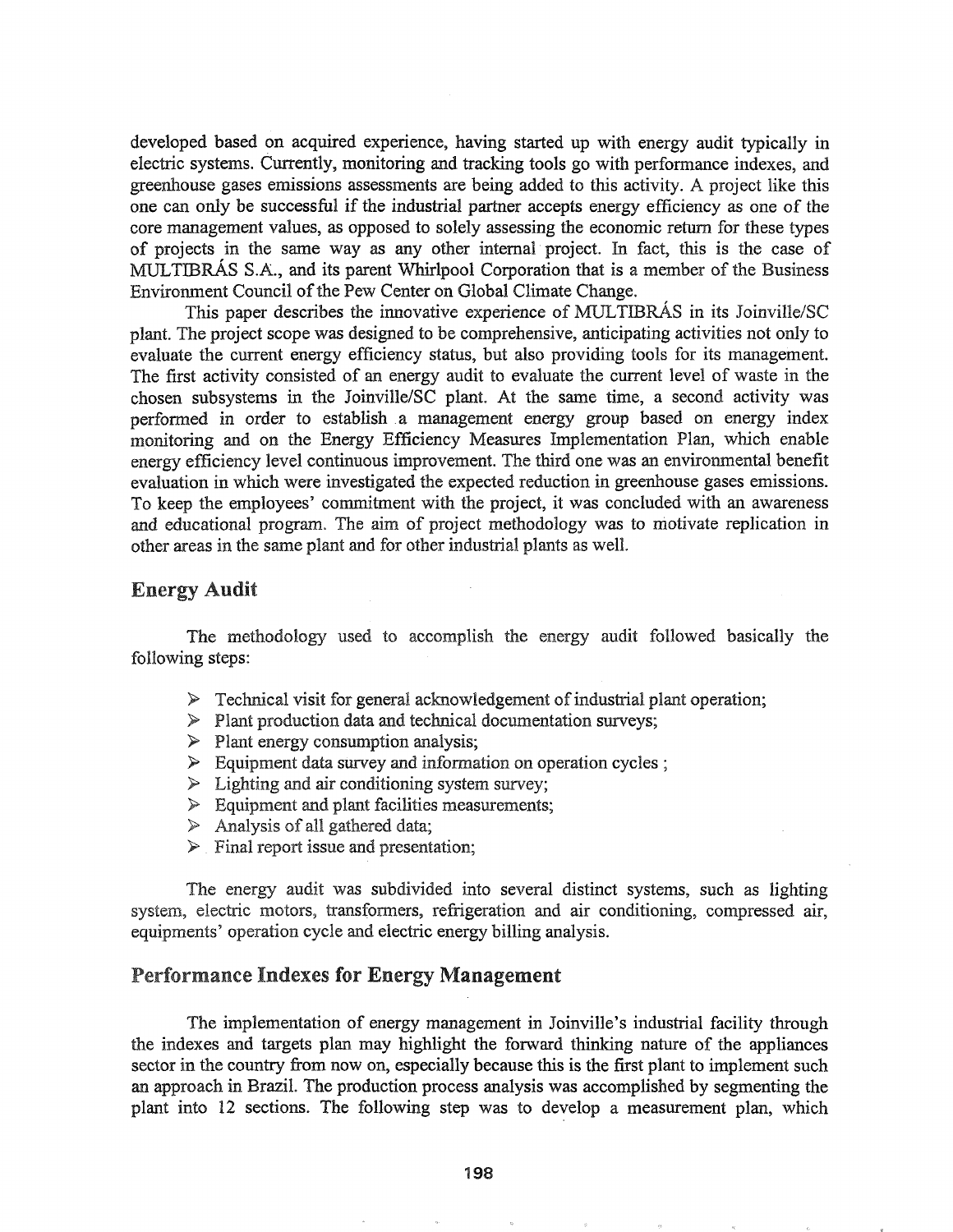developed based on acquired experience, having started up with energy audit typically in electric systems. Currently, monitoring and tracking tools go with performance indexes, and greenhouse gases emissions assessments are being added to this activity. A project like this one can only be successful if the industrial partner accepts energy efficiency as one of the core management values, as opposed to solely assessing the economic return for these types of projects in the same way as any other internal' project. In fact, this is the case of MULTIBRAS S.A., and its parent Whirlpool Corporation that is a member of the Business Environment Council of the Pew Center on Global Climate Change.

This paper describes the innovative experience of MULTIBRAs in its Joinville/SC plant. The project scope was designed to be comprehensive, anticipating activities not only to evaluate the current energy efficiency status, but also providing tools for its management. The first activity consisted of an energy audit to evaluate the current level of waste in the chosen subsystems in the Joinville/SC plant~ At the same time, a second activity was performed in order to establish a management energy group based on energy index monitoring and on the Energy Efficiency Measures Implementation Plan, which enable energy efficiency level continuous improvement. The third one was an environmental benefit evaluation in which were investigated the expected reduction in greenhouse gases emissions. To keep the employees' commitment with the project, it was concluded with an awareness and educational program. The aim of project methodology was to motivate replication in other areas in the same plant and for other industrial plants as well.

## **Energy Audit**

methodology used to accomplish the energy audit followed basically the following steps:

- $\triangleright$  Technical visit for general acknowledgement of industrial plant operation;
- $\triangleright$  Plant production data and technical documentation surveys;
- $\triangleright$  Plant energy consumption analysis;
- $\triangleright$  Equipment data survey and information on operation cycles ;
- $\triangleright$  Lighting and air conditioning system survey;
- $\triangleright$  Equipment and plant facilities measurements;
- $\triangleright$  Analysis of all gathered data;
- $\triangleright$  Final report issue and presentation;

The energy audit was subdivided into several distinct systems, such as lighting system, electric motors, transformers, refrigeration and air conditioning, compressed air, equipments' operation cycle and electric energy billing analysis.

## Performance Indexes for Energy Management

The implementation of energy management in Joinville's industrial facility through the indexes and targets plan may highlight the forward thinking nature of the appliances sector in the country from now on, especially because this is the first plant to implement such an approach in BraziL The production process analysis was accomplished by segmenting the plant into 12 sections. The following step was to develop a measurement plan, which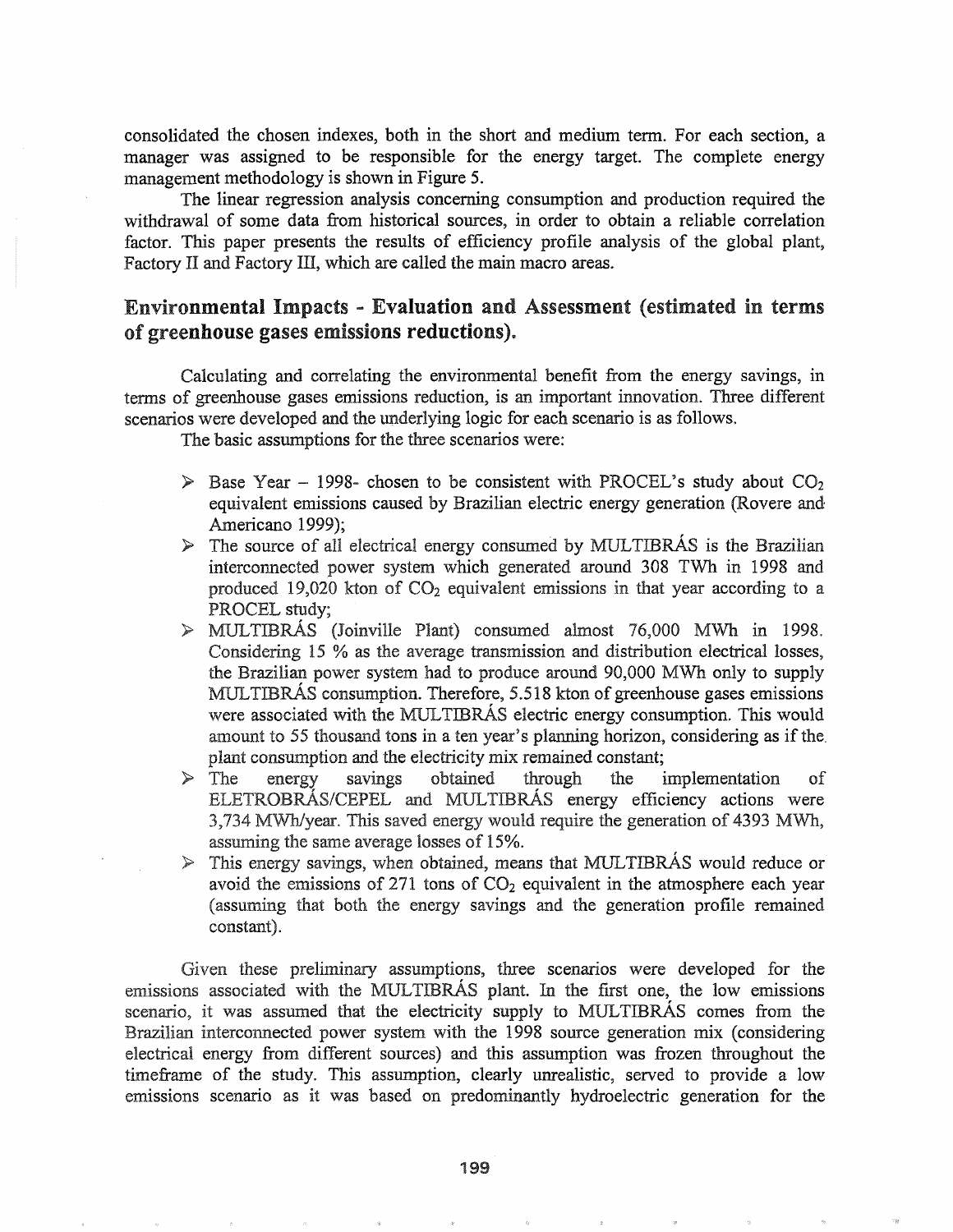consolidated the chosen indexes, both in the short and medium tenn~ For each section, a manager was assigned to be responsible for the energy target. The complete energy management methodology is shown in Figure 5.

The linear regression analysis concerning consumption and production required the withdrawal of some data from historical sources, in order to obtain a reliable correlation factor. This paper presents the results of efficiency profile analysis of the global plant, Factory II and Factory III, which are called the main macro areas.

# Environmental Impacts - Evaluation and Assessment (estimated in terms of greenhouse gases emissions reductions).

Calculating and correlating the environmental benefit from the energy savings, in tenns of greenhouse gases emissions reduction, is an important innovation. Three different scenarios were developed and the underlying logic for each scenario is as follows.

The basic assumptions for the three scenarios were:

- $\triangleright$  Base Year 1998- chosen to be consistent with PROCEL's study about CO<sub>2</sub> equivalent emissions caused by Brazilian electric energy generation (Rovere and Americano 1999);
- $\triangleright$  The source of all electrical energy consumed by MULTIBRAS is the Brazilian interconnected power system which generated around 308 TVVh in 1998 and produced 19,020 kton of  $CO<sub>2</sub>$  equivalent emissions in that year according to a PROCEL study;
- $\triangleright$  MULTIBRÁS (Joinville Plant) consumed almost 76,000 MWh in 1998. Considering 15 % as the average transmission and distribution electrical losses, the Brazilian power system had to produce around 90,000 MWh only to supply MULTIBRÁS consumption. Therefore, 5.518 kton of greenhouse gases emissions were associated with the MULTIBRÁS electric energy consumption. This would amount to 55 thousand tons in a ten year's planning horizon, considering as if the plant consumption and the electricity mix remained constant;
- This saved energy would require the generation of 4393 MWh, assuming the same average losses of 15%.  $\geq$  The energy savings obtained through the implementation of ELETROBRÁS/CEPEL and MULTIBRÁS energy efficiency actions were
- $\triangleright$  This energy savings, when obtained, means that MULTIBRAS would reduce or avoid the emissions of  $271$  tons of  $CO<sub>2</sub>$  equivalent in the atmosphere each year (assuming that both the energy savings and the generation profile remained constant)..

Given these preliminary assumptions, three scenarios were developed for the emissions associated with the MULTIBRAS plant. In the first one, the low emissions scenario, it was assumed that the electricity supply to MULTIBRAS comes from the Brazilian interconnected power system with the 1998 source generation mix (considering electrical energy from different sources) and this assumption was frozen throughout the timeframe of the study. This assumption, clearly unrealistic, served to provide a low emissions scenario as it was based on predominantly hydroelectric generation for the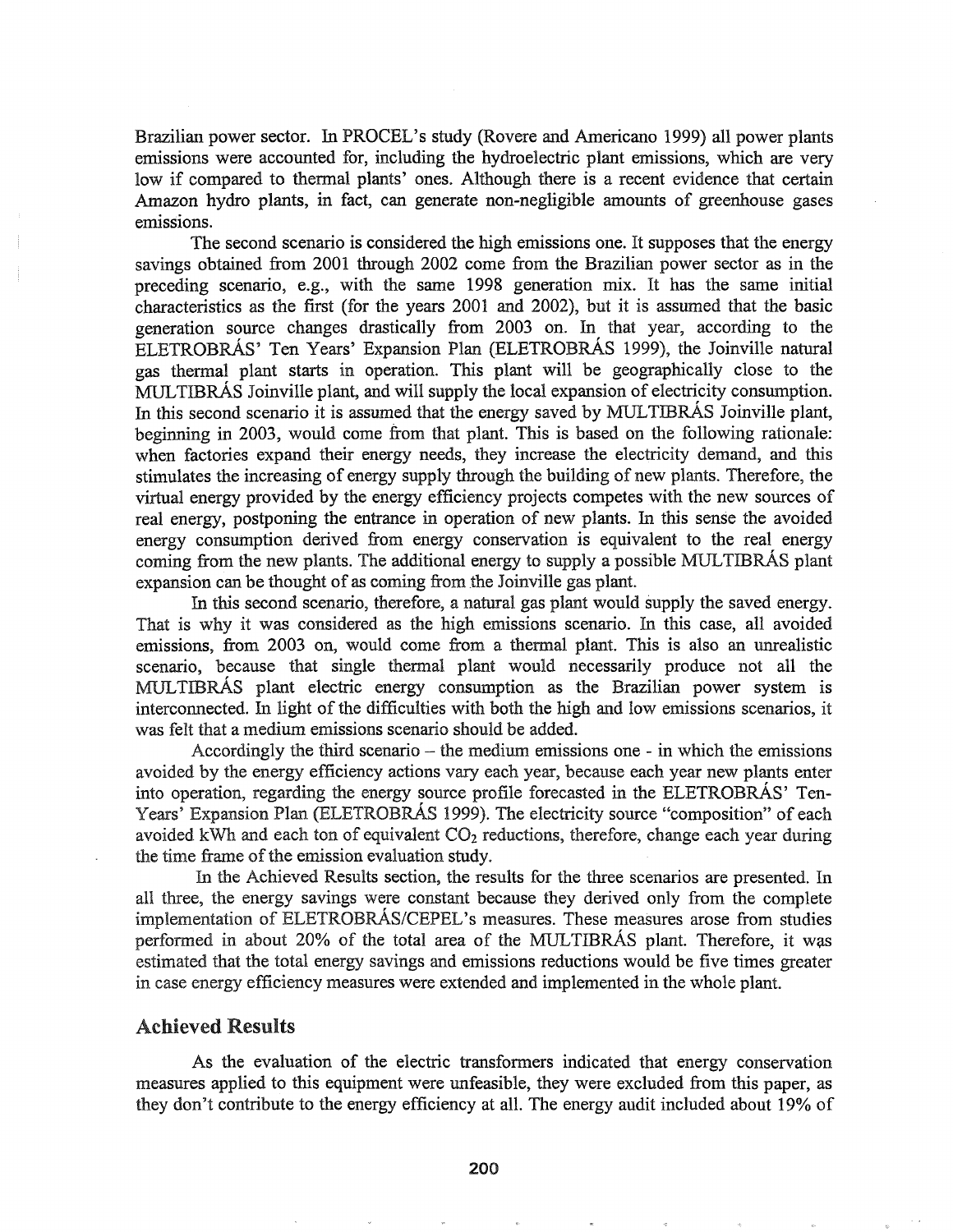Brazilian power sector. In PROCEL's study (Rovere and Americano 1999) all power plants emissions were accounted for, including the hydroelectric plant emissions, which are very low if compared to thermal plants' ones. Although there is a recent evidence that certain Amazon hydro plants, in fact, can generate non-negligible amounts of greenhouse gases emissions.

The second scenario is considered the high emissions one. It supposes that the energy savings obtained from 2001 through 2002 come from the Brazilian power sector as in the preceding scenario, e.g., with the same 1998 generation mix. It has the same initial characteristics as the first (for the years 2001 and 2002), but it is assumed that the basic generation source changes drastically from 2003 on. In that year, according to the ELETROBRAs' Ten Years' Expansion Plan (ELETROBRAs 1999), the Joinville natural gas thermal plant starts in operation. This plant will be geographically close to the MULTIBRAs Joinville plant, and will supply the local expansion of electricity consumption. In this second scenario it is assumed that the energy saved by MULTIBRAS Joinville plant, beginning in 2003, would come from that plant. This is based on the following rationale: when factories expand their energy needs, they increase the electricity demand, and this stimulates the increasing of energy supply through the building of new plants. Therefore, the virtual energy provided by the energy efficiency projects competes with the new sources of real energy, postponing the entrance in operation of new plants. In this sense the avoided energy consumption derived from energy conservation is equivalent to the real energy coming from the new plants. The additional energy to supply a possible MULTIBRAS plant expansion can be thought of as coming from the Joinville gas plant.

In this second scenario, therefore, a natural gas plant would supply the saved energy. That is why it was considered as the high emissions scenario. In this case, all avoided emissions, from 2003 on, would come from a thermal plant. This is also an unrealistic scenario, because that single thermal plant would necessarily produce not all the MULTIBRAs plant electric energy consumption as the Brazilian power system is interconnected. In light of the difficulties with both the high and low emissions scenarios, it was felt that a medium emissions scenario should be added.

Accordingly the third scenario – the medium emissions one - in which the emissions avoided by the energy efficiency actions vary each year, because each year new plants enter into operation, regarding the energy source profile forecasted in the ELETROBRÁS' Ten-Years' Expansion Plan (ELETROBRAs 1999). The electricity source "composition" of each avoided kWh and each ton of equivalent  $CO<sub>2</sub>$  reductions, therefore, change each year during the time frame of the emission evaluation study.

In the Achieved Results section, the results for the three scenarios are presented. In all three, the energy savings were constant because they derived only from the complete implementation of ELETROBRÁS/CEPEL's measures. These measures arose from studies performed in about 20% of the total area of the MULTIBRAs plant. Therefore, it was estimated that the total energy savings and emissions reductions would be five times greater in case energy efficiency measures were extended and implemented in the whole plant.

### Achieved Results

As the evaluation of the electric transformers indicated that energy conservation measures applied to this equipment were unfeasible, they were excluded from this paper, as they don't contribute to the energy efficiency at all. The energy audit included about 19% of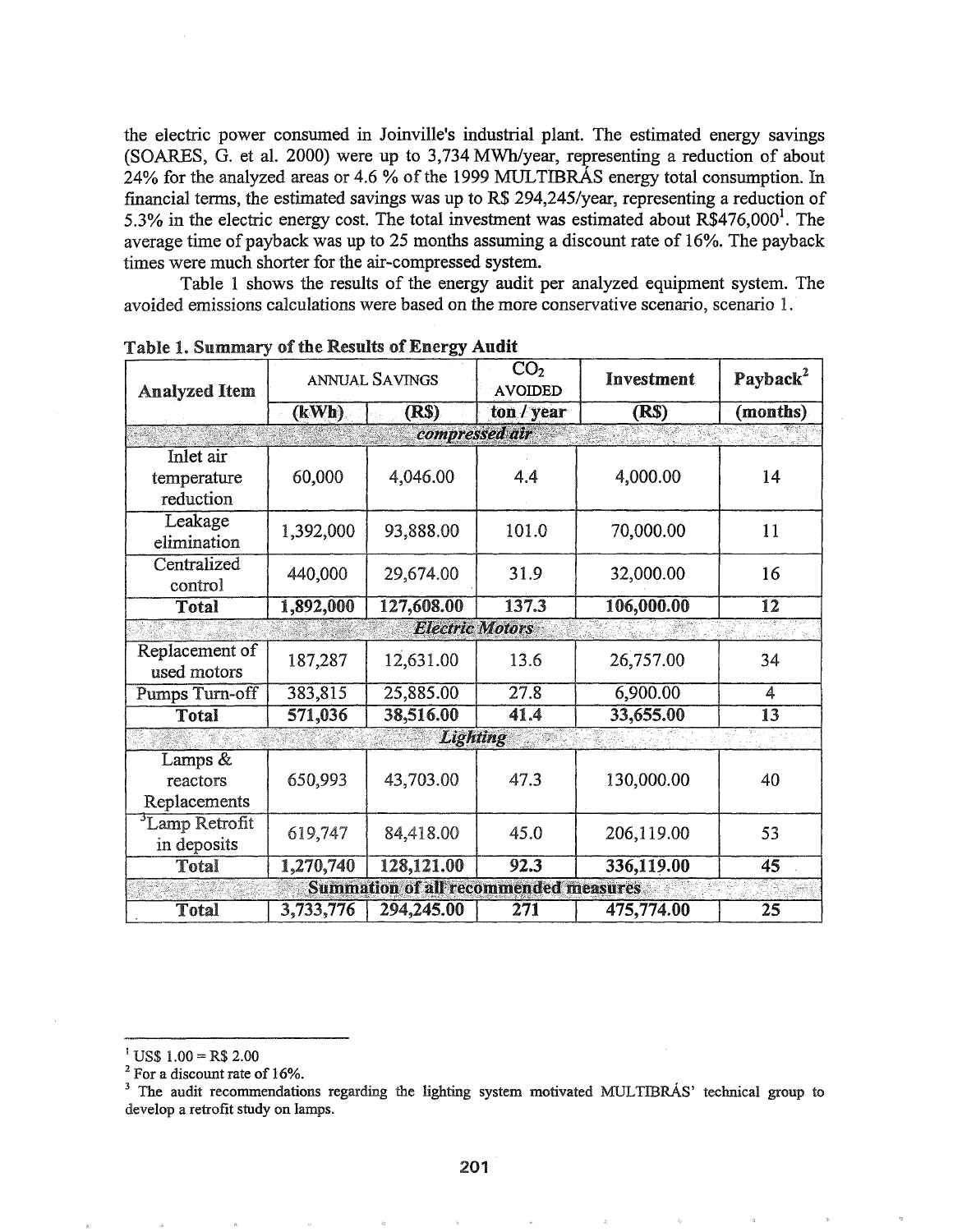the electric power consumed in Joinville's industrial plant. The estimated energy savings (SOARES,  $\overline{G}$ , et al. 2000) were up to 3,734 MWh/year, representing a reduction of about 24% for the analyzed areas or 4.6 % of the 1999 MULTIBRAS energy total consumption. In financial tenns, the estimated savings was up to R\$ 294,245/year, representing a reduction of 5.3% in the electric energy cost. The total investment was estimated about  $R\$ {5476,000}^1. The average time of payback was up to 25 months assuming a discount rate of  $16\%$ . The payback times were much shorter for the air-compressed system.

Table 1 shows the results of the energy audit per analyzed equipment system. The avoided emissions calculations were based on the more conservative scenario, scenario 1.'

| <b>Analyzed Item</b>                         | ANNUAL SAVINGS |                        | $\overline{{\rm CO}_2}$<br><b>AVOIDED</b> | Investment        | Payback <sup>2</sup> |  |  |  |
|----------------------------------------------|----------------|------------------------|-------------------------------------------|-------------------|----------------------|--|--|--|
|                                              | (kWh)          | <b>(RS)</b>            | ton / year                                | (R <sub>s</sub> ) | (months)             |  |  |  |
|                                              |                | compressed air         |                                           |                   |                      |  |  |  |
| Inlet air<br>temperature<br>reduction        | 60,000         | 4,046.00               | 4.4                                       | 4,000.00          | 14                   |  |  |  |
| Leakage<br>elimination                       | 1,392,000      | 93,888.00              | 101.0                                     | 70,000.00         | 11                   |  |  |  |
| Centralized<br>control                       | 440,000        | 29,674.00              | 31.9                                      | 32,000.00         | 16                   |  |  |  |
| Total                                        | 1,892,000      | 127,608.00             | 137.3                                     | 106,000.00        | $\overline{12}$      |  |  |  |
|                                              |                | <b>Electric Motors</b> |                                           |                   |                      |  |  |  |
| Replacement of<br>used motors                | 187,287        | 12,631.00              | 13.6                                      | 26,757.00         | 34                   |  |  |  |
| Pumps Turn-off                               | 383,815        | 25,885.00              | 27.8                                      | 6,900.00          | 4                    |  |  |  |
| Total                                        | 571,036        | 38,516.00              | 41.4                                      | 33,655.00         | $\overline{13}$      |  |  |  |
|                                              |                | Lighting               |                                           |                   |                      |  |  |  |
| Lamps &<br>reactors<br>Replacements          | 650,993        | 43,703.00              | 47.3                                      | 130,000.00        | 40                   |  |  |  |
| <sup>3</sup> Lamp Retrofit<br>in deposits    | 619,747        | 84,418.00              | 45.0                                      | 206,119.00        | 53                   |  |  |  |
| Total                                        | 1,270,740      | 128,121.00             | 92.3                                      | 336,119.00        | 45                   |  |  |  |
| <b>Summation of all recommended measures</b> |                |                        |                                           |                   |                      |  |  |  |
| Total                                        | 3,733,776      | 294,245.00             | 271                                       | 475,774.00        | 25                   |  |  |  |

Table 1. Summary of the Results of Energy Audit

<sup>&</sup>lt;sup>1</sup> US\$  $1.00 =$  R\$ 2.00

<sup>&</sup>lt;sup>2</sup> For a discount rate of 16%.

<sup>&</sup>lt;sup>3</sup> The audit recommendations regarding the lighting system motivated MULTIBRAS' technical group to develop a retrofit study on lamps.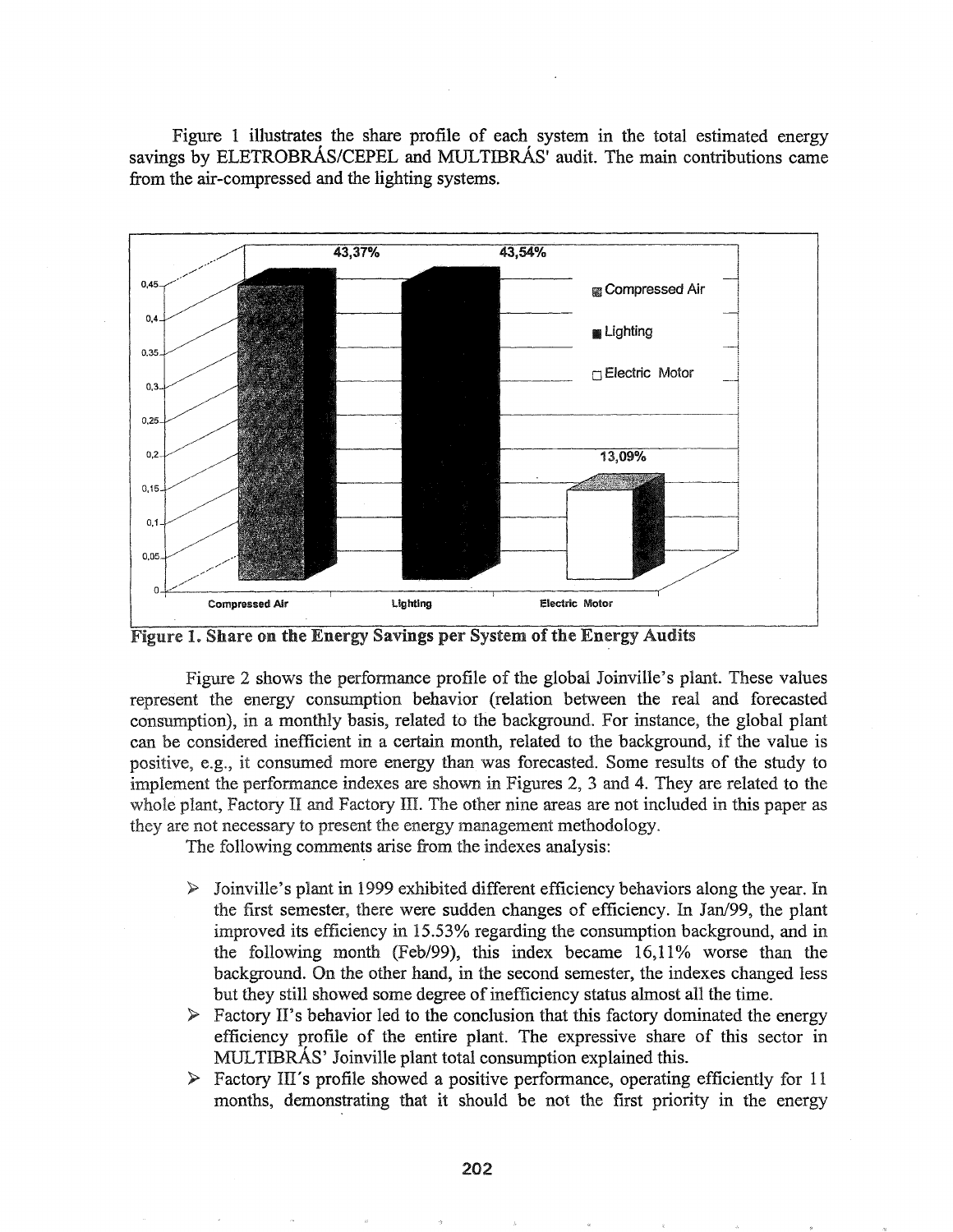Figure 1 illustrates the share profile of each system in the total estimated energy savings by ELETROBRÁS/CEPEL and MULTIBRÁS' audit. The main contributions came from the air-compressed and the lighting systems.



Figure 1. Share on the Energy Savings per System of the Energy Audits

Figure 2 shows the perfonnance profile of the global Joinville's plant. These values represent the energy consumption behavior (relation between the real and forecasted consumption), in a monthly basis, related to the background. For instance, the global plant can be considered inefficient in a certain month, related to the background, if the value is positive, e.g., it consumed more energy than was forecasted. Some results of the study to implement the performance indexes are shown in Figures 2, 3 and 4. They are related to the whole plant, Factory II and Factory III. The other nine areas are not included in this paper as they are not necessary to present the energy management methodology.

The following comments arise from the indexes analysis:

- $\triangleright$  Joinville's plant in 1999 exhibited different efficiency behaviors along the year. In first semester, there were sudden changes of efficiency. In Jan/99, the plant improved its efficiency in 15.53% regarding the consumption background, and in the following month (Feb/99), this index became 16,11% worse than the background. On the other hand, in the second semester, the indexes changed less but they still showed some degree of inefficiency status almost all the time.
- $\triangleright$  Factory II's behavior led to the conclusion that this factory dominated the energy efficiency profile of the entire plant. The expressive share of this sector in MULTIBRAs' Joinville plant total consumption explained this.
- $\triangleright$  Factory III's profile showed a positive performance, operating efficiently for 11 months, demonstrating that it should be not the first priority in the energy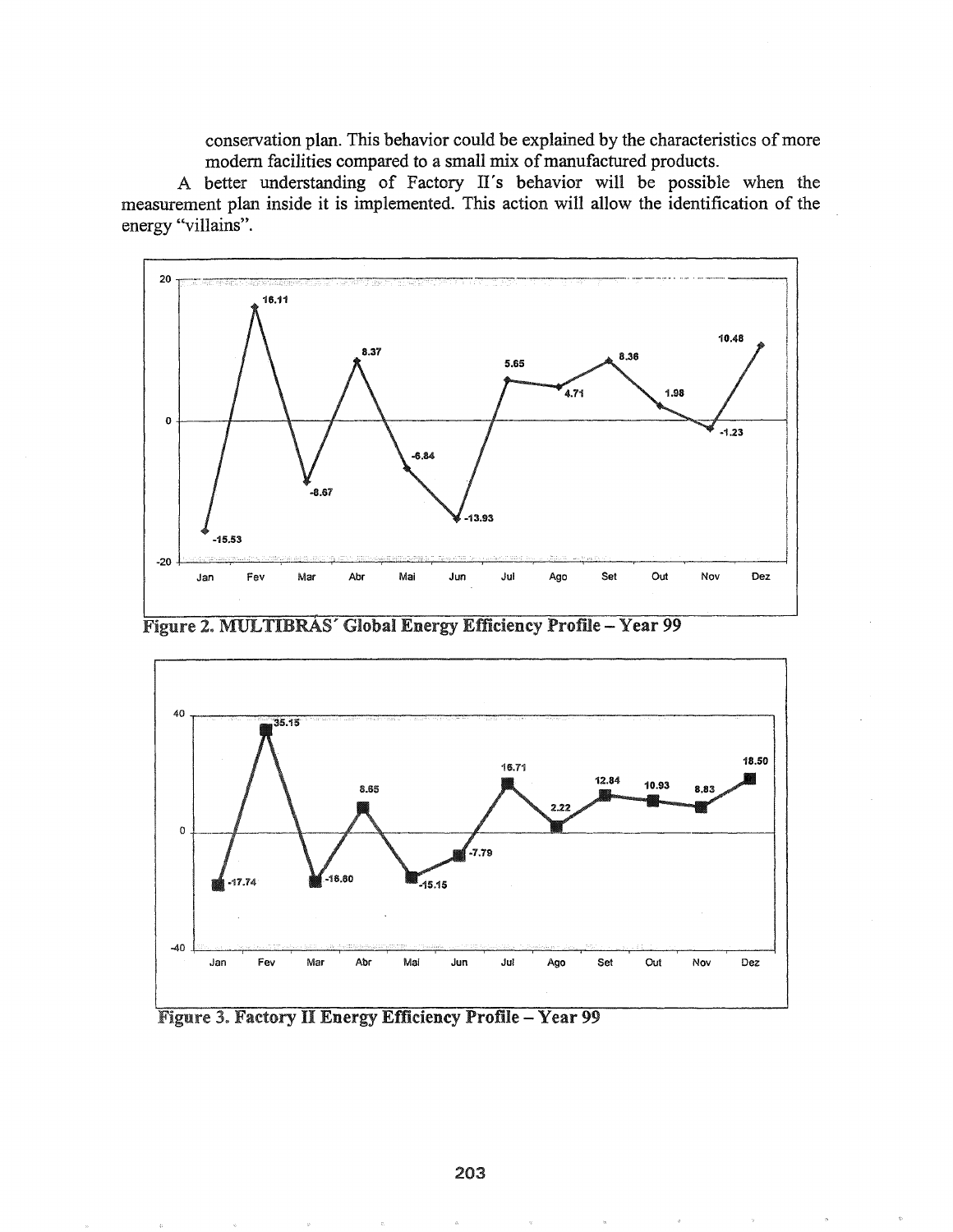conservation plan. This behavior could be explained by the characteristics of more modern facilities compared to a small mix of manufactured products.

A better understanding of Factory II's behavior will be possible when the measurement plan inside it is implemented. This action will allow the identification of the energy "villains".



Figure 2. MULTIBRAS' Global Energy Efficiency Profile - Year 99



Figure 3. Factory II Energy Efficiency Profile - Year 99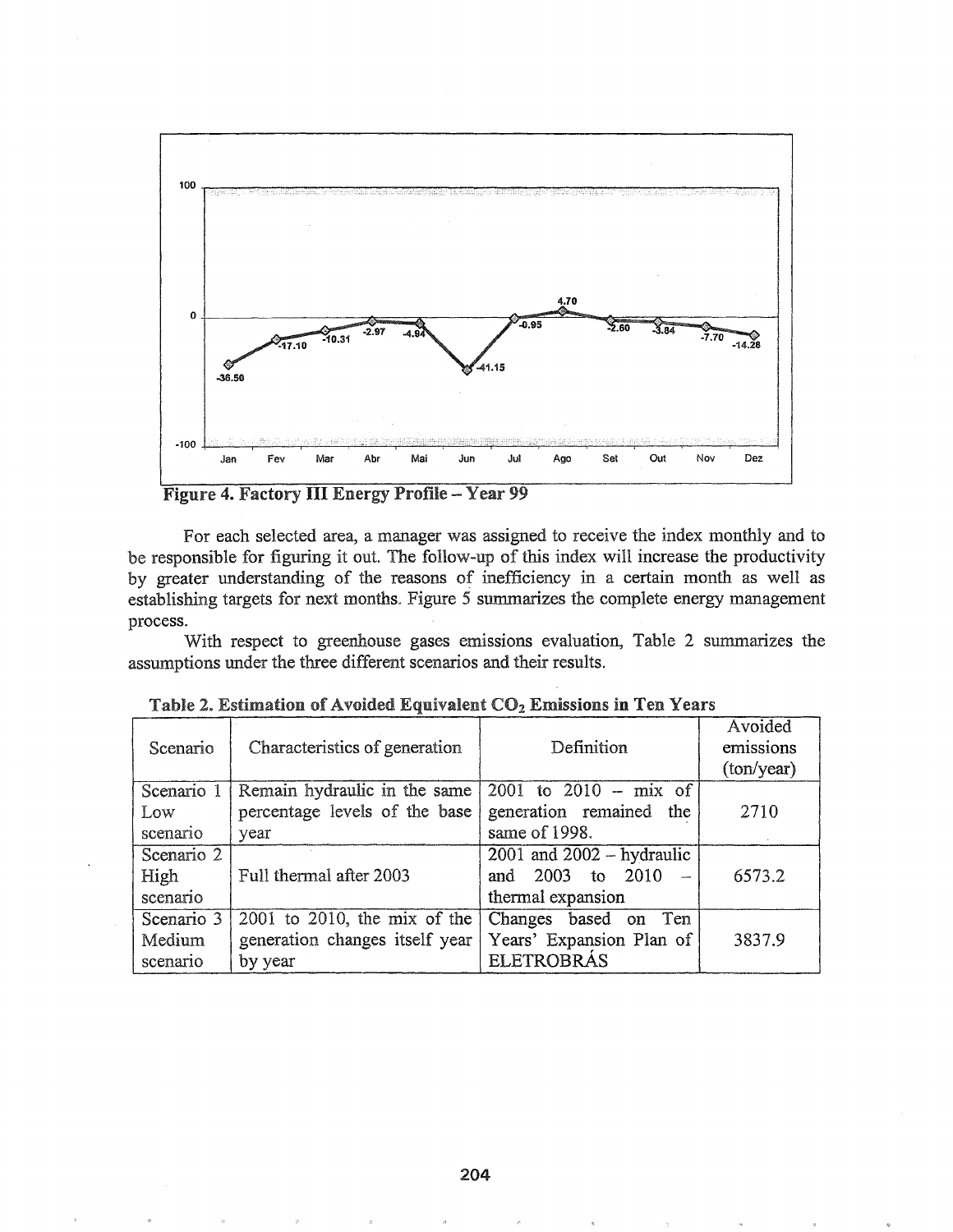

Figure 4. Factory III Energy Profile - Year 99

For each selected area, a manager was assigned to receive the index monthly and to be responsible for figuring it out. The follow-up of this index will increase the productivity by greater understanding of the reasons of inefficiency in a certain month as well as establishing targets for next months. Figure 5 summarizes the complete energy management process.

With respect to greenhouse gases emissions evaluation, Table 2 summarizes the assumptions under the three different scenarios and their results.

| Scenario   | Characteristics of generation     | Definition                                      | Avoided<br>emissions<br>(ton/year) |
|------------|-----------------------------------|-------------------------------------------------|------------------------------------|
| Scenario 1 | Remain hydraulic in the same      | $\overline{2001}$ to $\overline{2010}$ – mix of |                                    |
| Low        | percentage levels of the base     | generation remained the                         | 2710                               |
| scenario   | year                              | same of 1998.                                   |                                    |
| Scenario 2 |                                   | $2001$ and $2002 - hydraulic$                   |                                    |
| High       | Full thermal after 2003           | and 2003 to 2010                                | 6573.2                             |
| scenario   |                                   | thermal expansion                               |                                    |
| Scenario 3 | $2001$ to $2010$ , the mix of the | Changes based on Ten                            |                                    |
| Medium     | generation changes itself year    | Years' Expansion Plan of                        | 3837.9                             |
| scenario   | by year                           | <b>ELETROBRÁS</b>                               |                                    |

| Table 2. Estimation of Avoided Equivalent CO <sub>2</sub> Emissions in Ten Years |  |  |  |  |  |  |
|----------------------------------------------------------------------------------|--|--|--|--|--|--|
|----------------------------------------------------------------------------------|--|--|--|--|--|--|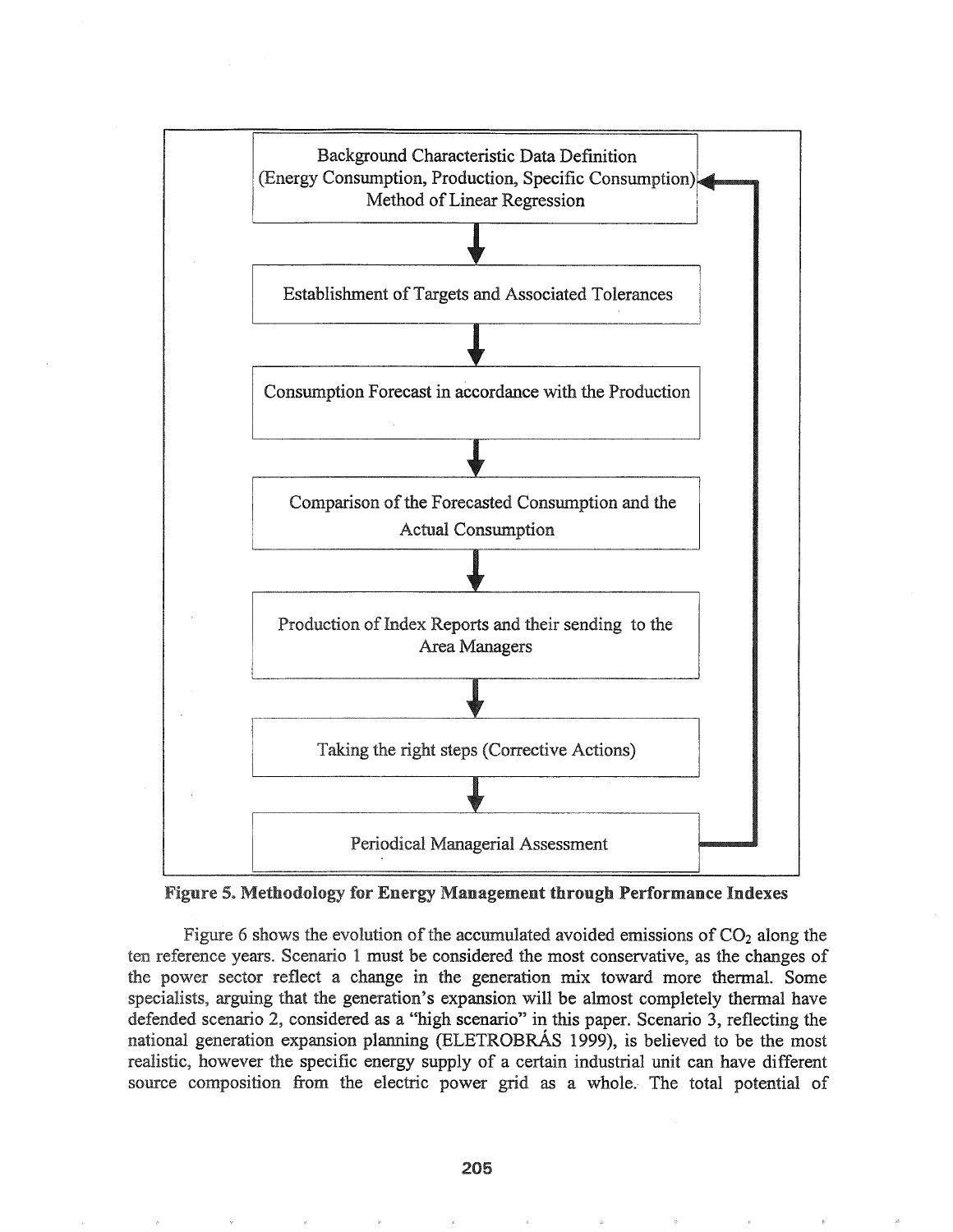



Figure 6 shows the evolution of the accumulated avoided emissions of  $CO<sub>2</sub>$  along the ten reference years. Scenario 1 must be considered the most conservative, as the changes of the power sector reflect a change in the generation mix toward more thermal. Some specialists, arguing that the generation's expansion will be almost completely thermal have defended scenario 2, considered as a "high scenario" in this paper. Scenario 3, reflecting the national generation expansion planning (ELETROBRAs 1999), is believed to be the most realistic, however the specific energy supply of a certain industrial unit can have different source composition from the electric power grid as a whole. The total potential of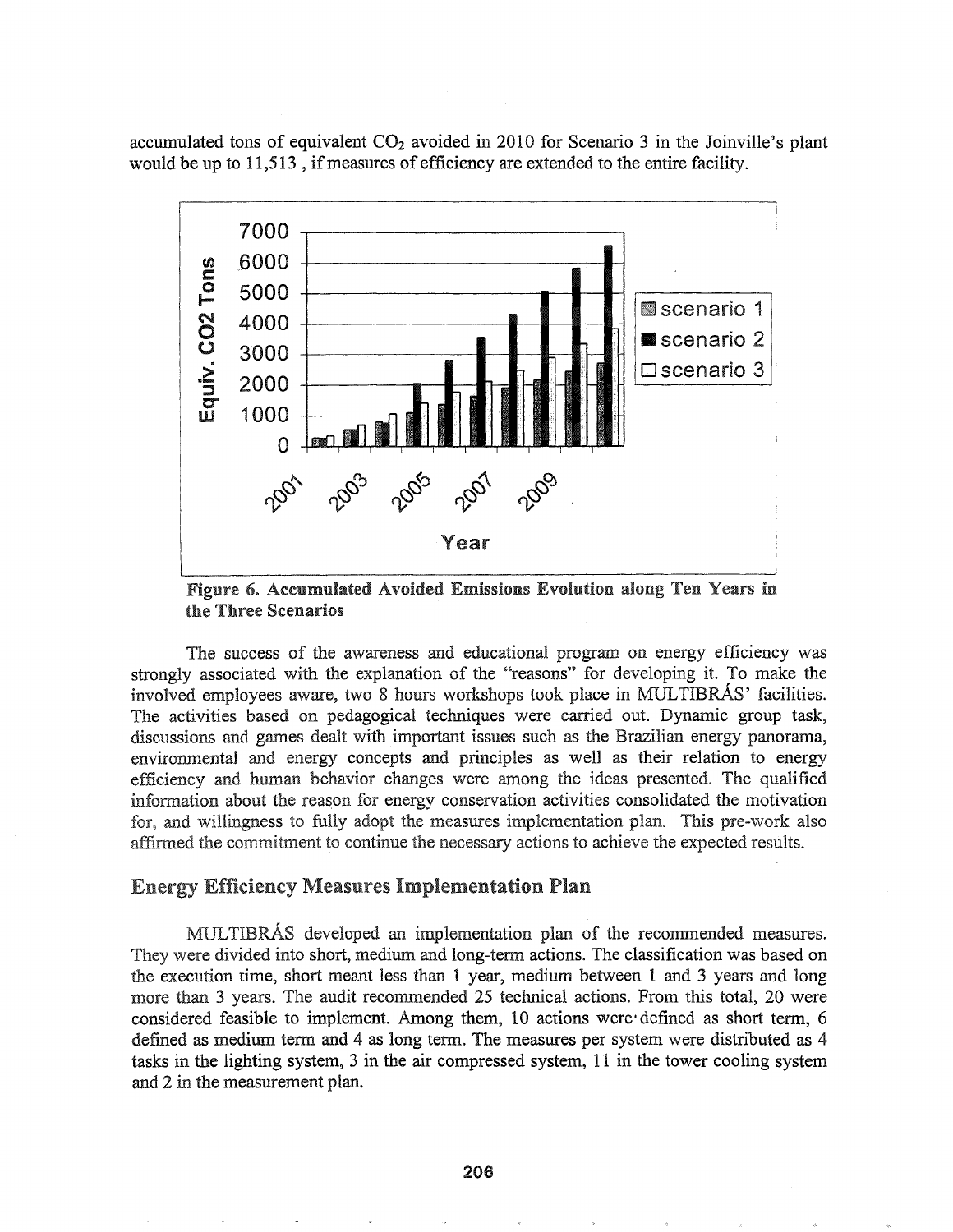accumulated tons of equivalent  $CO<sub>2</sub>$  avoided in 2010 for Scenario 3 in the Joinville's plant would be up to 11,513, if measures of efficiency are extended to the entire facility.



Figure 6. Accumulated Avoided Emissions Evolution along the Three Scenarios

The success of the awareness and educational program on energy efficiency was strongly associated with the explanation of the "reasons" for developing it. To make the involved employees aware, two 8 hours workshops took place in MULTIBRAs' facilities. The activities based on pedagogical techniques were carried out. Dynamic group task, discussions and games dealt with important issues such as the Brazilian energy panorama, environmental and energy concepts and principles as well as their relation to energy efficiency and human behavior changes were among the ideas presented. The qualified information about the reason for energy conservation activities consolidated the motivation for, and willingness to fully adopt the measures implementation plan. This pre-work also affirmed the commitment to continue the necessary actions to achieve the expected results.

### **Energy Efficiency Measures Implementation Plan**

MULTIBRÁS developed an implementation plan of the recommended measures. They were divided into short, medium and long-term actions. The classification was based on the execution time, short meant less than 1 year, medium between 1 and 3 years and long more than 3 years. The audit recommended 25 technical actions. From this total, 20 were considered feasible to implement. Among them, 10 actions were defined as short term, 6 defined as medium term and 4 as long term. The measures per system were distributed as 4 tasks in the lighting system, 3 in the air compressed system, 11 in the tower cooling system and 2 in the measurement plan.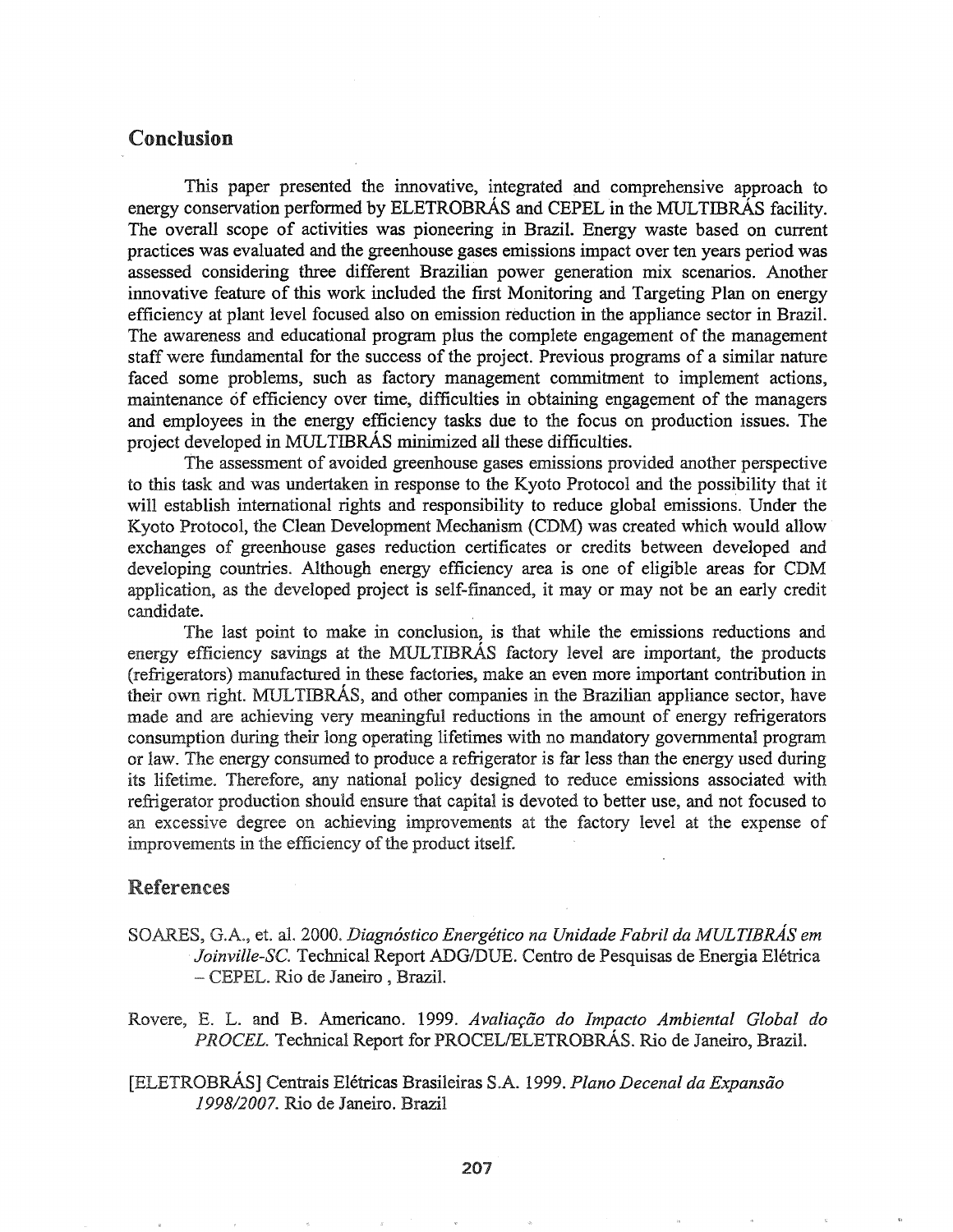# Conclusion

This paper presented the innovative, integrated and comprehensive approach to energy conservation performed by ELETROBRÁS and CEPEL in the MULTIBRÁS facility. The overall scope of activities was pioneering in Brazil. Energy waste based on current practices was evaluated and the greenhouse gases emissions impact over ten years period was assessed considering three different Brazilian power generation mix scenarios. Another innovative feature of this work included the first Monitoring and Targeting Plan on energy efficiency at plant level focused also on emission reduction in the appliance sector in Brazil. The awareness and educational program plus the complete engagement of the management staff were fundamental for the success of the project. Previous programs of a similar nature faced some problems, such as factory management commitment to implement actions, maintenance of efficiency over time, difficulties in obtaining engagement of the managers and employees in the energy efficiency tasks due to the focus on production issues. The project developed in MULTIBRAS minimized all these difficulties.

The assessment of avoided greenhouse gases emissions provided another perspective to this task and was undertaken in response to the Kyoto Protocol and the possibility that it will establish international rights and responsibility to reduce global emissions. Under the Kyoto Protocol, the Clean Development Mechanism (CDM) was created which would allow exchanges of greenhouse gases reduction certificates or credits between developed and developing countries & Although energy efficiency area is one of eligible areas for CDM application, as the developed project is self-financed, it mayor may not be an early credit candidate.

The last point to make in conclusion, is that while the emissions reductions and energy efficiency savings at the MULTIBRAS factory level are important, the products (refrigerators) manufactured in these factories, make an even more important contribution in their own right. MULTIBRAs, and other companies in the Brazilian appliance sector, have made and are achieving very meaningful reductions in the amount of energy refrigerators consumption during their long operating lifetimes with no mandatory governmental program or law. The energy consumed to produce a refrigerator is far less than the energy used during its lifetime. Therefore, any national policy designed to reduce emissions associated with refrigerator production should ensure that capital is devoted to better use, and not focused to an excessive degree on achieving improvements at the factory level at the expense of improvements in the efficiency of the product itself.

### **References**

- et~ 2000\$ *Diagn6stico Energetico na Unidade Fabril da MULTIBRAs em* Joinville-SC. Technical Report ADG/DUE. Centro de Pesquisas de Energia Elétrica - CEPEL. Rio de Janeiro, Brazil.
- and Bo Americano. 1999& Avalia~ao *do Impacto Ambiental Global do PROCEL.* Technical Report for PROCELIELETROBRAs. Rio de Janeiro, Brazil.
- [ELETROBRÁS] Centrais Elétricas Brasileiras S.A. 1999. Plano Decenal da Expansão *1998/20078* Rio de Janeiro. Brazil